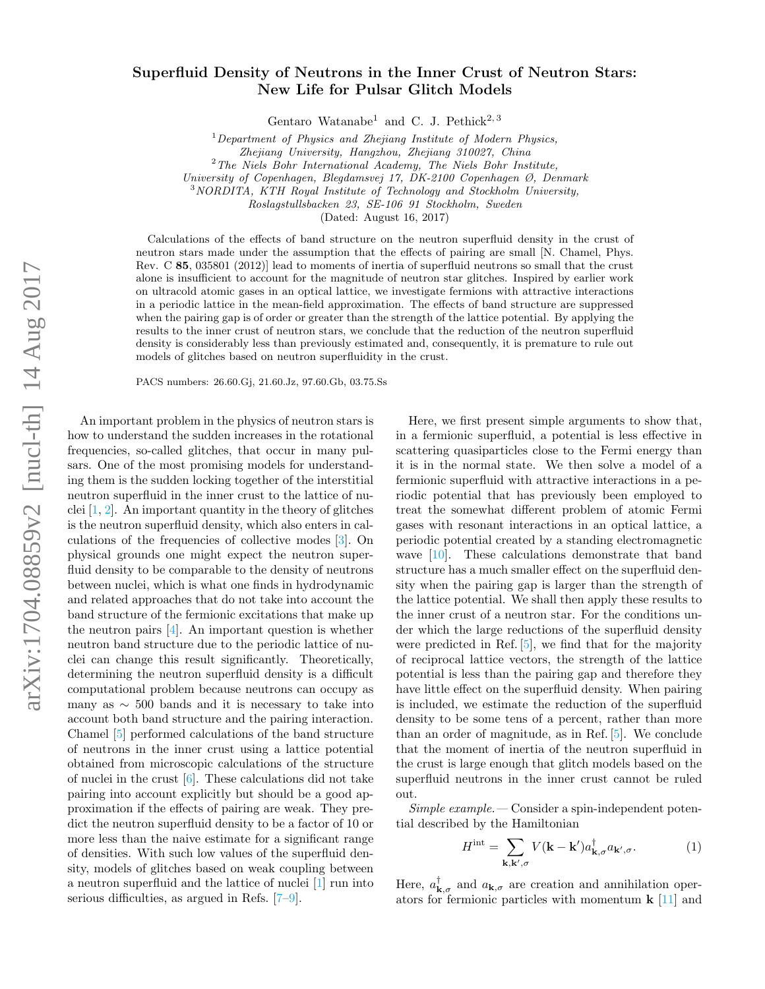## Superfluid Density of Neutrons in the Inner Crust of Neutron Stars: New Life for Pulsar Glitch Models

Gentaro Watanabe<sup>1</sup> and C. J. Pethick<sup>2, 3</sup>

 $1$  Department of Physics and Zhejiang Institute of Modern Physics,

Zhejiang University, Hangzhou, Zhejiang 310027, China

 $2$ The Niels Bohr International Academy, The Niels Bohr Institute,

University of Copenhagen, Blegdamsvej 17, DK-2100 Copenhagen Ø, Denmark

<sup>3</sup>NORDITA, KTH Royal Institute of Technology and Stockholm University,

Roslagstullsbacken 23, SE-106 91 Stockholm, Sweden

(Dated: August 16, 2017)

Calculations of the effects of band structure on the neutron superfluid density in the crust of neutron stars made under the assumption that the effects of pairing are small [N. Chamel, Phys. Rev. C 85, 035801 (2012)] lead to moments of inertia of superfluid neutrons so small that the crust alone is insufficient to account for the magnitude of neutron star glitches. Inspired by earlier work on ultracold atomic gases in an optical lattice, we investigate fermions with attractive interactions in a periodic lattice in the mean-field approximation. The effects of band structure are suppressed when the pairing gap is of order or greater than the strength of the lattice potential. By applying the results to the inner crust of neutron stars, we conclude that the reduction of the neutron superfluid density is considerably less than previously estimated and, consequently, it is premature to rule out models of glitches based on neutron superfluidity in the crust.

PACS numbers: 26.60.Gj, 21.60.Jz, 97.60.Gb, 03.75.Ss

An important problem in the physics of neutron stars is how to understand the sudden increases in the rotational frequencies, so-called glitches, that occur in many pulsars. One of the most promising models for understanding them is the sudden locking together of the interstitial neutron superfluid in the inner crust to the lattice of nuclei  $[1, 2]$  $[1, 2]$  $[1, 2]$ . An important quantity in the theory of glitches is the neutron superfluid density, which also enters in calculations of the frequencies of collective modes [\[3\]](#page-4-2). On physical grounds one might expect the neutron superfluid density to be comparable to the density of neutrons between nuclei, which is what one finds in hydrodynamic and related approaches that do not take into account the band structure of the fermionic excitations that make up the neutron pairs [\[4\]](#page-4-3). An important question is whether neutron band structure due to the periodic lattice of nuclei can change this result significantly. Theoretically, determining the neutron superfluid density is a difficult computational problem because neutrons can occupy as many as  $\sim$  500 bands and it is necessary to take into account both band structure and the pairing interaction. Chamel [\[5\]](#page-4-4) performed calculations of the band structure of neutrons in the inner crust using a lattice potential obtained from microscopic calculations of the structure of nuclei in the crust  $[6]$ . These calculations did not take pairing into account explicitly but should be a good approximation if the effects of pairing are weak. They predict the neutron superfluid density to be a factor of 10 or more less than the naive estimate for a significant range of densities. With such low values of the superfluid density, models of glitches based on weak coupling between a neutron superfluid and the lattice of nuclei [\[1\]](#page-4-0) run into serious difficulties, as argued in Refs. [\[7](#page-4-6)[–9\]](#page-4-7).

Here, we first present simple arguments to show that, in a fermionic superfluid, a potential is less effective in scattering quasiparticles close to the Fermi energy than it is in the normal state. We then solve a model of a fermionic superfluid with attractive interactions in a periodic potential that has previously been employed to treat the somewhat different problem of atomic Fermi gases with resonant interactions in an optical lattice, a periodic potential created by a standing electromagnetic wave [\[10\]](#page-4-8). These calculations demonstrate that band structure has a much smaller effect on the superfluid density when the pairing gap is larger than the strength of the lattice potential. We shall then apply these results to the inner crust of a neutron star. For the conditions under which the large reductions of the superfluid density were predicted in Ref. [\[5\]](#page-4-4), we find that for the majority of reciprocal lattice vectors, the strength of the lattice potential is less than the pairing gap and therefore they have little effect on the superfluid density. When pairing is included, we estimate the reduction of the superfluid density to be some tens of a percent, rather than more than an order of magnitude, as in Ref. [\[5\]](#page-4-4). We conclude that the moment of inertia of the neutron superfluid in the crust is large enough that glitch models based on the superfluid neutrons in the inner crust cannot be ruled out.

 $Simple\ example.$  Consider a spin-independent potential described by the Hamiltonian

<span id="page-0-0"></span>
$$
H^{\text{int}} = \sum_{\mathbf{k}, \mathbf{k}', \sigma} V(\mathbf{k} - \mathbf{k}') a_{\mathbf{k}, \sigma}^{\dagger} a_{\mathbf{k}', \sigma}.
$$
 (1)

Here,  $a_{\mathbf{k},\sigma}^{\dagger}$  and  $a_{\mathbf{k},\sigma}$  are creation and annihilation operators for fermionic particles with momentum  $\bf{k}$  [\[11\]](#page-4-9) and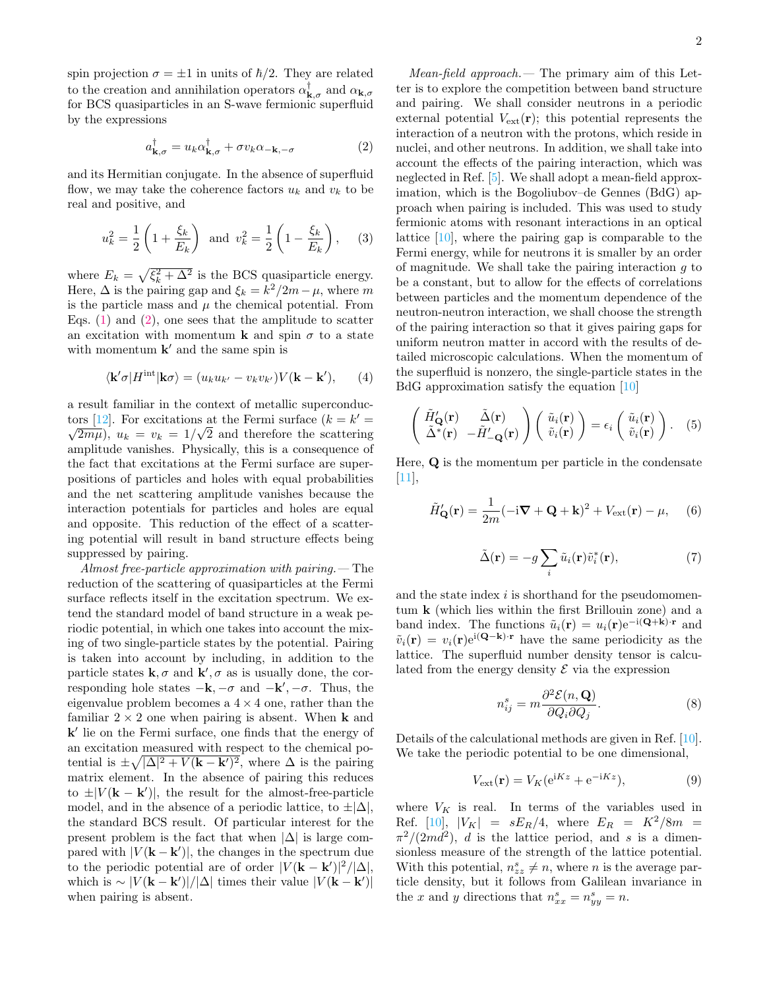spin projection  $\sigma = \pm 1$  in units of  $\hbar/2$ . They are related to the creation and annihilation operators  $\alpha_{\mathbf{k},\sigma}^{\dagger}$  and  $\alpha_{\mathbf{k},\sigma}$ for BCS quasiparticles in an S-wave fermionic superfluid by the expressions

<span id="page-1-0"></span>
$$
a_{\mathbf{k},\sigma}^{\dagger} = u_k \alpha_{\mathbf{k},\sigma}^{\dagger} + \sigma v_k \alpha_{-\mathbf{k},-\sigma}
$$
 (2)

and its Hermitian conjugate. In the absence of superfluid flow, we may take the coherence factors  $u_k$  and  $v_k$  to be real and positive, and

$$
u_k^2 = \frac{1}{2} \left( 1 + \frac{\xi_k}{E_k} \right)
$$
 and  $v_k^2 = \frac{1}{2} \left( 1 - \frac{\xi_k}{E_k} \right)$ , (3)

where  $E_k = \sqrt{\xi_k^2 + \Delta^2}$  is the BCS quasiparticle energy. Here,  $\Delta$  is the pairing gap and  $\xi_k = k^2/2m - \mu$ , where m is the particle mass and  $\mu$  the chemical potential. From Eqs.  $(1)$  and  $(2)$ , one sees that the amplitude to scatter an excitation with momentum **k** and spin  $\sigma$  to a state with momentum  $\mathbf{k}'$  and the same spin is

$$
\langle \mathbf{k}'\sigma | H^{\text{int}} | \mathbf{k}\sigma \rangle = (u_k u_{k'} - v_k v_{k'}) V(\mathbf{k} - \mathbf{k}'), \qquad (4)
$$

a result familiar in the context of metallic superconduc-tors [\[12\]](#page-4-10). For excitations at the Fermi surface  $(k = k' = \sqrt{N})$  $\overline{2m\mu}$ ,  $u_k = v_k = 1/\sqrt{2}$  and therefore the scattering amplitude vanishes. Physically, this is a consequence of the fact that excitations at the Fermi surface are superpositions of particles and holes with equal probabilities and the net scattering amplitude vanishes because the interaction potentials for particles and holes are equal and opposite. This reduction of the effect of a scattering potential will result in band structure effects being suppressed by pairing.

Almost free-particle approximation with pairing.— The reduction of the scattering of quasiparticles at the Fermi surface reflects itself in the excitation spectrum. We extend the standard model of band structure in a weak periodic potential, in which one takes into account the mixing of two single-particle states by the potential. Pairing is taken into account by including, in addition to the particle states  $\mathbf{k}, \sigma$  and  $\mathbf{k}', \sigma$  as is usually done, the corresponding hole states  $-\mathbf{k}, -\sigma$  and  $-\mathbf{k}', -\sigma$ . Thus, the eigenvalue problem becomes a  $4 \times 4$  one, rather than the familiar  $2 \times 2$  one when pairing is absent. When **k** and k' lie on the Fermi surface, one finds that the energy of an excitation measured with respect to the chemical potential is  $\pm \sqrt{|\Delta|^2 + V(\mathbf{k} - \mathbf{k}')^2}$ , where  $\Delta$  is the pairing matrix element. In the absence of pairing this reduces to  $\pm |V(\mathbf{k} - \mathbf{k}')|$ , the result for the almost-free-particle model, and in the absence of a periodic lattice, to  $\pm|\Delta|$ , the standard BCS result. Of particular interest for the present problem is the fact that when  $|\Delta|$  is large compared with  $|V(\mathbf{k} - \mathbf{k}')|$ , the changes in the spectrum due to the periodic potential are of order  $|V(\mathbf{k} - \mathbf{k}')|^2/|\Delta|$ , which is  $\sim |V(\mathbf{k} - \mathbf{k}')|/|\Delta|$  times their value  $|V(\mathbf{k} - \mathbf{k}')|$ when pairing is absent.

Mean-field approach.— The primary aim of this Letter is to explore the competition between band structure and pairing. We shall consider neutrons in a periodic external potential  $V_{\text{ext}}(\mathbf{r})$ ; this potential represents the interaction of a neutron with the protons, which reside in nuclei, and other neutrons. In addition, we shall take into account the effects of the pairing interaction, which was neglected in Ref. [\[5\]](#page-4-4). We shall adopt a mean-field approximation, which is the Bogoliubov–de Gennes (BdG) approach when pairing is included. This was used to study fermionic atoms with resonant interactions in an optical lattice [\[10\]](#page-4-8), where the pairing gap is comparable to the Fermi energy, while for neutrons it is smaller by an order of magnitude. We shall take the pairing interaction  $q$  to be a constant, but to allow for the effects of correlations between particles and the momentum dependence of the neutron-neutron interaction, we shall choose the strength of the pairing interaction so that it gives pairing gaps for uniform neutron matter in accord with the results of detailed microscopic calculations. When the momentum of the superfluid is nonzero, the single-particle states in the BdG approximation satisfy the equation [\[10\]](#page-4-8)

$$
\begin{pmatrix}\n\tilde{H}_{\mathbf{Q}}(\mathbf{r}) & \tilde{\Delta}(\mathbf{r}) \\
\tilde{\Delta}^*(\mathbf{r}) & -\tilde{H}_{-\mathbf{Q}}'(\mathbf{r})\n\end{pmatrix}\n\begin{pmatrix}\n\tilde{u}_i(\mathbf{r}) \\
\tilde{v}_i(\mathbf{r})\n\end{pmatrix} = \epsilon_i \begin{pmatrix}\n\tilde{u}_i(\mathbf{r}) \\
\tilde{v}_i(\mathbf{r})\n\end{pmatrix}.
$$
\n(5)

Here,  $Q$  is the momentum per particle in the condensate  $|11|,$ 

$$
\tilde{H}_{\mathbf{Q}}'(\mathbf{r}) = \frac{1}{2m}(-i\mathbf{\nabla} + \mathbf{Q} + \mathbf{k})^2 + V_{\text{ext}}(\mathbf{r}) - \mu, \quad (6)
$$

$$
\tilde{\Delta}(\mathbf{r}) = -g \sum_{i} \tilde{u}_i(\mathbf{r}) \tilde{v}_i^*(\mathbf{r}),\tag{7}
$$

and the state index  $i$  is shorthand for the pseudomomentum k (which lies within the first Brillouin zone) and a band index. The functions  $\tilde{u}_i(\mathbf{r}) = u_i(\mathbf{r})e^{-i(\mathbf{Q}+\mathbf{k})\cdot\mathbf{r}}$  and  $\tilde{v}_i(\mathbf{r}) = v_i(\mathbf{r})e^{i(\mathbf{Q}-\mathbf{k})\cdot\mathbf{r}}$  have the same periodicity as the lattice. The superfluid number density tensor is calculated from the energy density  $\mathcal E$  via the expression

$$
n_{ij}^s = m \frac{\partial^2 \mathcal{E}(n, \mathbf{Q})}{\partial Q_i \partial Q_j}.
$$
 (8)

Details of the calculational methods are given in Ref. [\[10\]](#page-4-8). We take the periodic potential to be one dimensional,

$$
V_{\text{ext}}(\mathbf{r}) = V_K(e^{iKz} + e^{-iKz}),\tag{9}
$$

where  $V_K$  is real. In terms of the variables used in Ref.  $[10]$ ,  $|V_K| = sE_R/4$ , where  $E_R = K^2/8m$  $\pi^2/(2md^2)$ , d is the lattice period, and s is a dimensionless measure of the strength of the lattice potential. With this potential,  $n_{zz}^s \neq n$ , where n is the average particle density, but it follows from Galilean invariance in the x and y directions that  $n_{xx}^s = n_{yy}^s = n$ .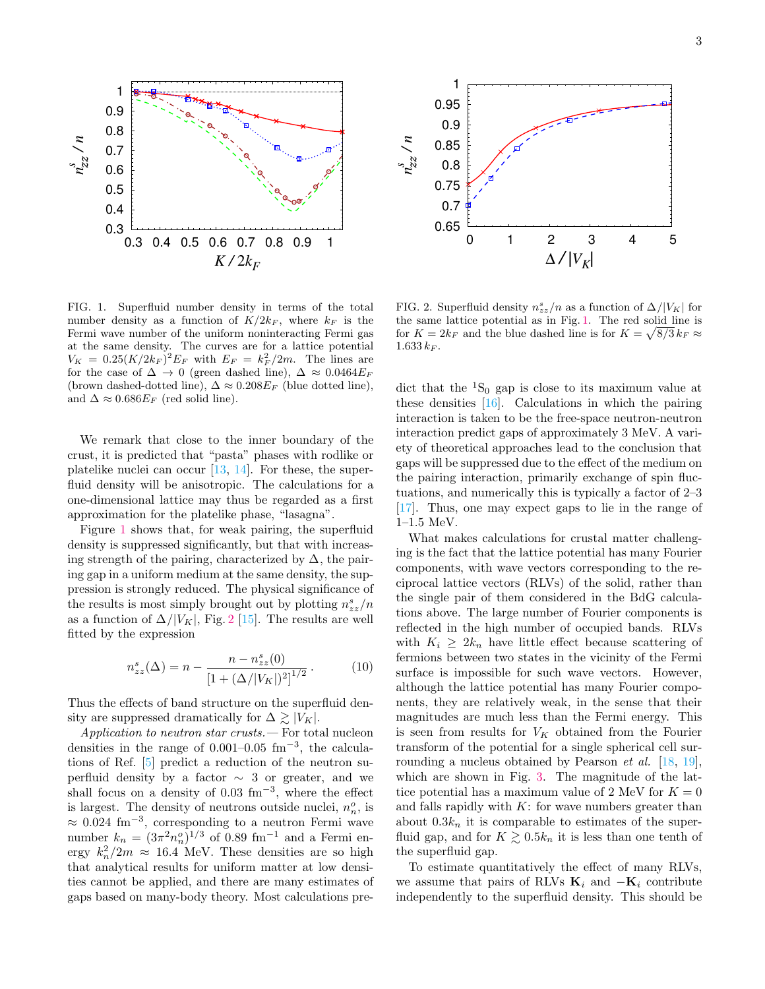

<span id="page-2-0"></span>FIG. 1. Superfluid number density in terms of the total number density as a function of  $K/2k_F$ , where  $k_F$  is the Fermi wave number of the uniform noninteracting Fermi gas at the same density. The curves are for a lattice potential  $V_K = 0.25 (K/2k_F)^2 E_F$  with  $E_F = k_F^2/2m$ . The lines are for the case of  $\Delta \rightarrow 0$  (green dashed line),  $\Delta \approx 0.0464E_F$ (brown dashed-dotted line),  $\Delta \approx 0.208 E_F$  (blue dotted line), and  $\Delta \approx 0.686E_F$  (red solid line).

We remark that close to the inner boundary of the crust, it is predicted that "pasta" phases with rodlike or platelike nuclei can occur  $[13, 14]$  $[13, 14]$  $[13, 14]$ . For these, the superfluid density will be anisotropic. The calculations for a one-dimensional lattice may thus be regarded as a first approximation for the platelike phase, "lasagna".

Figure [1](#page-2-0) shows that, for weak pairing, the superfluid density is suppressed significantly, but that with increasing strength of the pairing, characterized by  $\Delta$ , the pairing gap in a uniform medium at the same density, the suppression is strongly reduced. The physical significance of the results is most simply brought out by plotting  $n_{zz}^s/n$ as a function of  $\Delta/|V_K|$ , Fig. [2](#page-2-1) [\[15\]](#page-4-13). The results are well fitted by the expression

<span id="page-2-2"></span>
$$
n_{zz}^s(\Delta) = n - \frac{n - n_{zz}^s(0)}{\left[1 + (\Delta/|V_K|)^2\right]^{1/2}}.
$$
 (10)

Thus the effects of band structure on the superfluid density are suppressed dramatically for  $\Delta \gtrsim |V_K|$ .

Application to neutron star crusts.— For total nucleon densities in the range of  $0.001-0.05$  fm<sup>-3</sup>, the calculations of Ref. [\[5\]](#page-4-4) predict a reduction of the neutron superfluid density by a factor  $\sim$  3 or greater, and we shall focus on a density of  $0.03 \text{ fm}^{-3}$ , where the effect is largest. The density of neutrons outside nuclei,  $n_n^o$ , is  $\approx 0.024$  fm<sup>-3</sup>, corresponding to a neutron Fermi wave number  $k_n = (3\pi^2 n_n^o)^{1/3}$  of 0.89 fm<sup>-1</sup> and a Fermi energy  $k_n^2/2m \approx 16.4$  MeV. These densities are so high that analytical results for uniform matter at low densities cannot be applied, and there are many estimates of 0.3<br>
0.65<br>
0.65<br>
0.7 0.8 0.47 0.8 0.9 10.9 10.8 0.9 10.8 0.9 10.8  $K/2k_F$ <br>
FIG. 1. Superfluid number density in terms of the total FIG. 2. Supermanner density as a function of  $K/2k_F$ , where  $k_F$  is the the same later the



<span id="page-2-1"></span>FIG. 2. Superfluid density  $n_{zz}^s/n$  as a function of  $\Delta/|V_K|$  for the same lattice potential as in Fig. [1.](#page-2-0) The red solid line is for  $K = 2k_F$  and the blue dashed line is for  $K = \sqrt{8/3} k_F \approx$  $1.633\,k_F$ .

dict that the  ${}^{1}S_{0}$  gap is close to its maximum value at these densities [\[16\]](#page-4-14). Calculations in which the pairing interaction is taken to be the free-space neutron-neutron interaction predict gaps of approximately 3 MeV. A variety of theoretical approaches lead to the conclusion that gaps will be suppressed due to the effect of the medium on the pairing interaction, primarily exchange of spin fluctuations, and numerically this is typically a factor of 2–3 [\[17\]](#page-4-15). Thus, one may expect gaps to lie in the range of 1–1.5 MeV.

What makes calculations for crustal matter challenging is the fact that the lattice potential has many Fourier components, with wave vectors corresponding to the reciprocal lattice vectors (RLVs) of the solid, rather than the single pair of them considered in the BdG calculations above. The large number of Fourier components is reflected in the high number of occupied bands. RLVs with  $K_i \geq 2k_n$  have little effect because scattering of fermions between two states in the vicinity of the Fermi surface is impossible for such wave vectors. However, although the lattice potential has many Fourier components, they are relatively weak, in the sense that their magnitudes are much less than the Fermi energy. This is seen from results for  $V_K$  obtained from the Fourier transform of the potential for a single spherical cell surrounding a nucleus obtained by Pearson *et al.*  $[18, 19]$  $[18, 19]$  $[18, 19]$ , which are shown in Fig. [3.](#page-3-0) The magnitude of the lattice potential has a maximum value of 2 MeV for  $K = 0$ and falls rapidly with  $K$ : for wave numbers greater than about  $0.3k_n$  it is comparable to estimates of the superfluid gap, and for  $K \gtrsim 0.5k_n$  it is less than one tenth of the superfluid gap.

To estimate quantitatively the effect of many RLVs, we assume that pairs of RLVs  $\mathbf{K}_i$  and  $-\mathbf{K}_i$  contribute independently to the superfluid density. This should be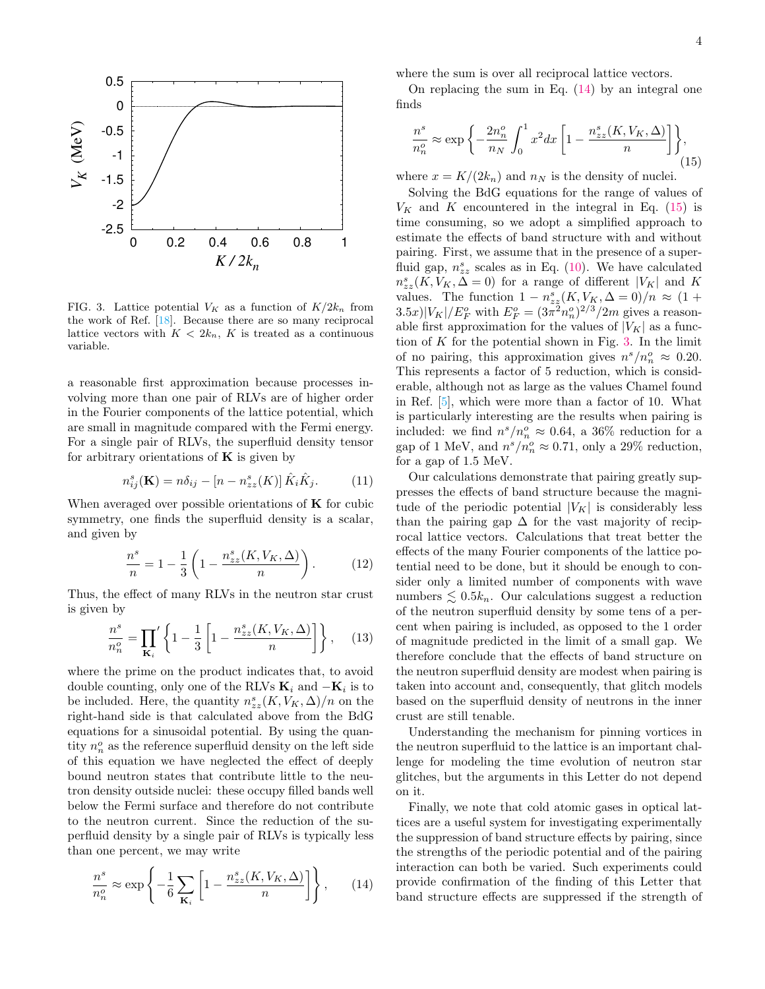

<span id="page-3-0"></span>FIG. 3. Lattice potential  $V_K$  as a function of  $K/2k_n$  from the work of Ref. [\[18\]](#page-4-16). Because there are so many reciprocal lattice vectors with  $K < 2k_n$ , K is treated as a continuous variable.

a reasonable first approximation because processes involving more than one pair of RLVs are of higher order in the Fourier components of the lattice potential, which are small in magnitude compared with the Fermi energy. For a single pair of RLVs, the superfluid density tensor for arbitrary orientations of  $\bf{K}$  is given by

$$
n_{ij}^s(\mathbf{K}) = n\delta_{ij} - [n - n_{zz}^s(K)]\,\hat{K}_i\hat{K}_j. \tag{11}
$$

When averaged over possible orientations of  $\bf{K}$  for cubic symmetry, one finds the superfluid density is a scalar, and given by

n

$$
\frac{n^{s}}{n} = 1 - \frac{1}{3} \left( 1 - \frac{n_{zz}^{s}(K, V_K, \Delta)}{n} \right).
$$
 (12)

Thus, the effect of many RLVs in the neutron star crust is given by

$$
\frac{n^s}{n_n^o} = \prod_{\mathbf{K}_i} \left\{ 1 - \frac{1}{3} \left[ 1 - \frac{n_{zz}^s(K, V_K, \Delta)}{n} \right] \right\}, \quad (13)
$$

where the prime on the product indicates that, to avoid double counting, only one of the RLVs  $\mathbf{K}_i$  and  $-\mathbf{K}_i$  is to be included. Here, the quantity  $n_{zz}^s(K, V_K, \Delta)/n$  on the right-hand side is that calculated above from the BdG equations for a sinusoidal potential. By using the quantity  $n_n^o$  as the reference superfluid density on the left side of this equation we have neglected the effect of deeply bound neutron states that contribute little to the neutron density outside nuclei: these occupy filled bands well below the Fermi surface and therefore do not contribute to the neutron current. Since the reduction of the superfluid density by a single pair of RLVs is typically less than one percent, we may write

<span id="page-3-1"></span>
$$
\frac{n^s}{n_n^o} \approx \exp\left\{-\frac{1}{6} \sum_{\mathbf{K}_i} \left[1 - \frac{n_{zz}^s(K, V_K, \Delta)}{n}\right]\right\},\qquad(14)
$$

where the sum is over all reciprocal lattice vectors.

On replacing the sum in Eq.  $(14)$  by an integral one finds

<span id="page-3-2"></span>
$$
\frac{n^s}{n_n^o} \approx \exp\left\{-\frac{2n_n^o}{n_N} \int_0^1 x^2 dx \left[1 - \frac{n_{zz}^s(K, V_K, \Delta)}{n}\right] \right\},\tag{15}
$$

where  $x = K/(2k_n)$  and  $n_N$  is the density of nuclei.

Solving the BdG equations for the range of values of  $V_K$  and K encountered in the integral in Eq. [\(15\)](#page-3-2) is time consuming, so we adopt a simplified approach to estimate the effects of band structure with and without pairing. First, we assume that in the presence of a superfluid gap,  $n_{zz}^s$  scales as in Eq. [\(10\)](#page-2-2). We have calculated  $n_{zz}^s(K, V_K, \Delta = 0)$  for a range of different  $|V_K|$  and K values. The function  $1 - n_{zz}^s(K, V_K, \Delta = 0)/n \approx (1 +$  $(3.5x)|V_K|/E_F^o$  with  $E_F^o = (3\pi^2 n_n^o)^{2/3}/2m$  gives a reasonable first approximation for the values of  $|V_K|$  as a function of  $K$  for the potential shown in Fig. [3.](#page-3-0) In the limit of no pairing, this approximation gives  $n^s/n_n^o \approx 0.20$ . This represents a factor of 5 reduction, which is considerable, although not as large as the values Chamel found in Ref. [\[5\]](#page-4-4), which were more than a factor of 10. What is particularly interesting are the results when pairing is included: we find  $n^s/n_n^o \approx 0.64$ , a 36% reduction for a gap of 1 MeV, and  $n^s/n_n^o \approx 0.71$ , only a 29% reduction, for a gap of 1.5 MeV.

Our calculations demonstrate that pairing greatly suppresses the effects of band structure because the magnitude of the periodic potential  $|V_K|$  is considerably less than the pairing gap  $\Delta$  for the vast majority of reciprocal lattice vectors. Calculations that treat better the effects of the many Fourier components of the lattice potential need to be done, but it should be enough to consider only a limited number of components with wave numbers  $\leq 0.5k_n$ . Our calculations suggest a reduction of the neutron superfluid density by some tens of a percent when pairing is included, as opposed to the 1 order of magnitude predicted in the limit of a small gap. We therefore conclude that the effects of band structure on the neutron superfluid density are modest when pairing is taken into account and, consequently, that glitch models based on the superfluid density of neutrons in the inner crust are still tenable.

Understanding the mechanism for pinning vortices in the neutron superfluid to the lattice is an important challenge for modeling the time evolution of neutron star glitches, but the arguments in this Letter do not depend on it.

Finally, we note that cold atomic gases in optical lattices are a useful system for investigating experimentally the suppression of band structure effects by pairing, since the strengths of the periodic potential and of the pairing interaction can both be varied. Such experiments could provide confirmation of the finding of this Letter that band structure effects are suppressed if the strength of